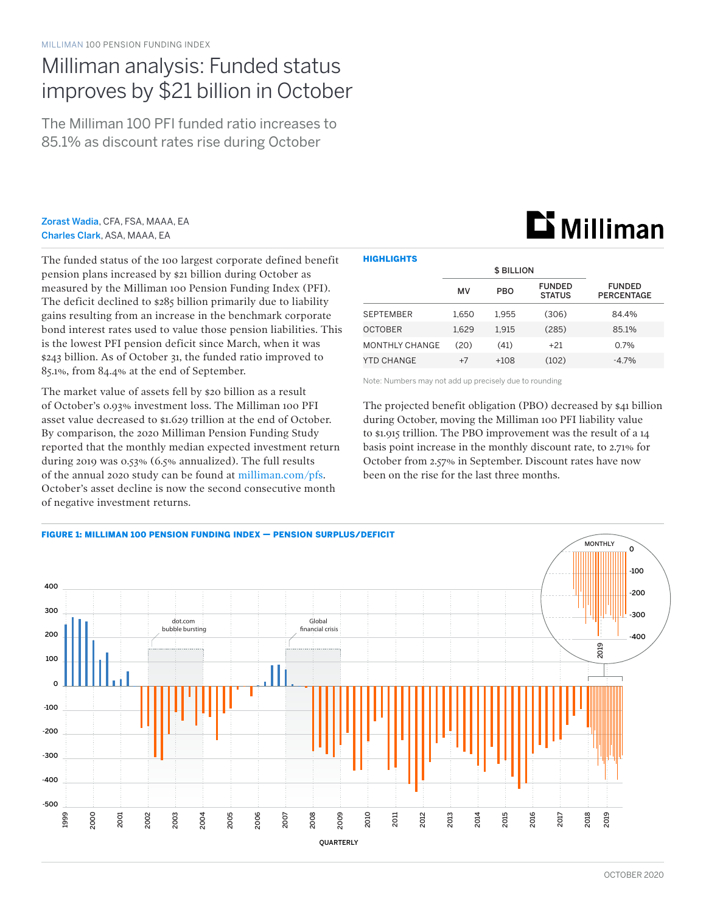## Milliman analysis: Funded status improves by \$21 billion in October

The Milliman 100 PFI funded ratio increases to 85.1% as discount rates rise during October

Zorast Wadia, CFA, FSA, MAAA, EA Charles Clark, ASA, MAAA, EA

The funded status of the 100 largest corporate defined benefit pension plans increased by \$21 billion during October as measured by the Milliman 100 Pension Funding Index (PFI). The deficit declined to \$285 billion primarily due to liability gains resulting from an increase in the benchmark corporate bond interest rates used to value those pension liabilities. This is the lowest PFI pension deficit since March, when it was \$243 billion. As of October 31, the funded ratio improved to 85.1%, from 84.4% at the end of September.

The market value of assets fell by \$20 billion as a result of October's 0.93% investment loss. The Milliman 100 PFI asset value decreased to \$1.629 trillion at the end of October. By comparison, the 2020 Milliman Pension Funding Study reported that the monthly median expected investment return during 2019 was 0.53% (6.5% annualized). The full results of the annual 2020 study can be found at [milliman.com/pfs](http://milliman.com/pfs). October's asset decline is now the second consecutive month of negative investment returns.

| <b>HIGHLIGHTS</b>     |       |                   |                                |                                    |  |  |  |  |  |
|-----------------------|-------|-------------------|--------------------------------|------------------------------------|--|--|--|--|--|
|                       |       | <b>\$ BILLION</b> |                                |                                    |  |  |  |  |  |
|                       | MV    | <b>PBO</b>        | <b>FUNDED</b><br><b>STATUS</b> | <b>FUNDED</b><br><b>PERCENTAGE</b> |  |  |  |  |  |
| <b>SEPTEMBER</b>      | 1.650 | 1.955             | (306)                          | 84.4%                              |  |  |  |  |  |
| <b>OCTOBER</b>        | 1,629 | 1,915             | (285)                          | 85.1%                              |  |  |  |  |  |
| <b>MONTHLY CHANGE</b> | (20)  | (41)              | $+21$                          | $0.7\%$                            |  |  |  |  |  |
| YTD CHANGE            | $+7$  | $+108$            | (102)                          | $-4.7%$                            |  |  |  |  |  |

Note: Numbers may not add up precisely due to rounding

The projected benefit obligation (PBO) decreased by \$41 billion during October, moving the Milliman 100 PFI liability value to \$1.915 trillion. The PBO improvement was the result of a 14 basis point increase in the monthly discount rate, to 2.71% for October from 2.57% in September. Discount rates have now been on the rise for the last three months.



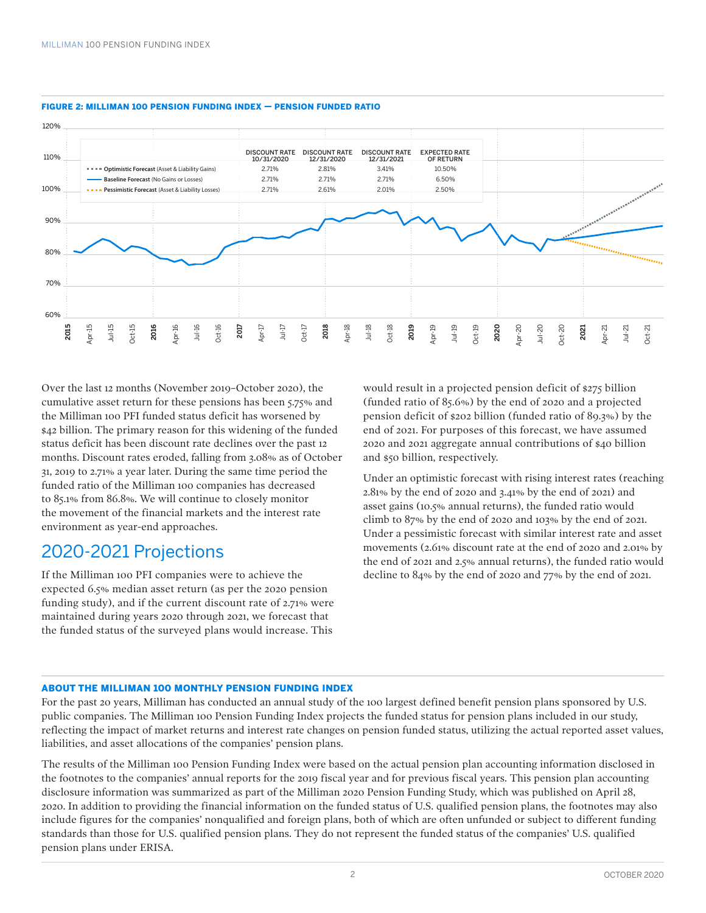

#### FIGURE 2: MILLIMAN 100 PENSION FUNDING INDEX — PENSION FUNDED RATIO

Over the last 12 months (November 2019–October 2020), the cumulative asset return for these pensions has been 5.75% and the Milliman 100 PFI funded status deficit has worsened by \$42 billion. The primary reason for this widening of the funded status deficit has been discount rate declines over the past 12 months. Discount rates eroded, falling from 3.08% as of October 31, 2019 to 2.71% a year later. During the same time period the funded ratio of the Milliman 100 companies has decreased to 85.1% from 86.8%. We will continue to closely monitor the movement of the financial markets and the interest rate environment as year-end approaches.

### 2020-2021 Projections

If the Milliman 100 PFI companies were to achieve the expected 6.5% median asset return (as per the 2020 pension funding study), and if the current discount rate of 2.71% were maintained during years 2020 through 2021, we forecast that the funded status of the surveyed plans would increase. This

would result in a projected pension deficit of \$275 billion (funded ratio of 85.6%) by the end of 2020 and a projected pension deficit of \$202 billion (funded ratio of 89.3%) by the end of 2021. For purposes of this forecast, we have assumed 2020 and 2021 aggregate annual contributions of \$40 billion and \$50 billion, respectively.

Under an optimistic forecast with rising interest rates (reaching 2.81% by the end of 2020 and 3.41% by the end of 2021) and asset gains (10.5% annual returns), the funded ratio would climb to 87% by the end of 2020 and 103% by the end of 2021. Under a pessimistic forecast with similar interest rate and asset movements (2.61% discount rate at the end of 2020 and 2.01% by the end of 2021 and 2.5% annual returns), the funded ratio would decline to 84% by the end of 2020 and 77% by the end of 2021.

#### ABOUT THE MILLIMAN 100 MONTHLY PENSION FUNDING INDEX

For the past 20 years, Milliman has conducted an annual study of the 100 largest defined benefit pension plans sponsored by U.S. public companies. The Milliman 100 Pension Funding Index projects the funded status for pension plans included in our study, reflecting the impact of market returns and interest rate changes on pension funded status, utilizing the actual reported asset values, liabilities, and asset allocations of the companies' pension plans.

The results of the Milliman 100 Pension Funding Index were based on the actual pension plan accounting information disclosed in the footnotes to the companies' annual reports for the 2019 fiscal year and for previous fiscal years. This pension plan accounting disclosure information was summarized as part of the Milliman 2020 Pension Funding Study, which was published on April 28, 2020. In addition to providing the financial information on the funded status of U.S. qualified pension plans, the footnotes may also include figures for the companies' nonqualified and foreign plans, both of which are often unfunded or subject to different funding standards than those for U.S. qualified pension plans. They do not represent the funded status of the companies' U.S. qualified pension plans under ERISA.